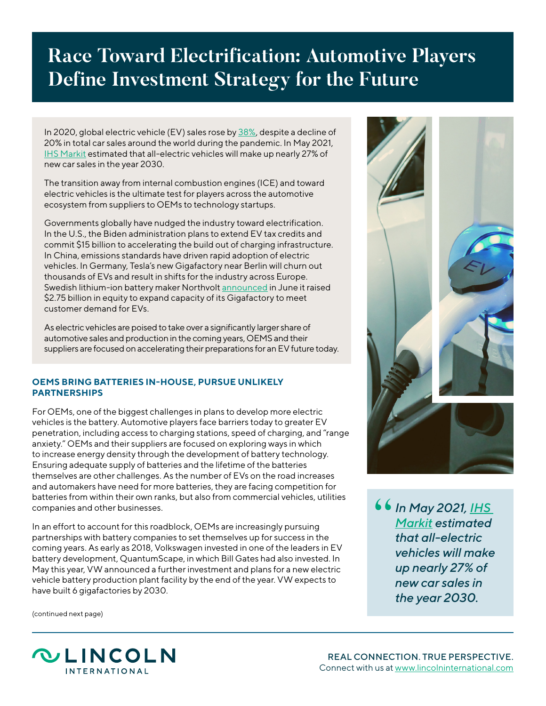## **Race Toward Electrification: Automotive Players Define Investment Strategy for the Future**

In 2020, global electric vehicle (EV) sales rose by [38%](https://www.woodmac.com/press-releases/700-million-electric-vehicles-will-be-on-the-roads-by-2050/), despite a decline of 20% in total car sales around the world during the pandemic. In May 2021, [IHS Markit](https://ihsmarkit.com/research-analysis/global-electric-vehicle-sales-grew-41-in-2020-more-growth-comi.html) estimated that all-electric vehicles will make up nearly 27% of new car sales in the year 2030.

The transition away from internal combustion engines (ICE) and toward electric vehicles is the ultimate test for players across the automotive ecosystem from suppliers to OEMs to technology startups.

Governments globally have nudged the industry toward electrification. In the U.S., the Biden administration plans to extend EV tax credits and commit \$15 billion to accelerating the build out of charging infrastructure. In China, emissions standards have driven rapid adoption of electric vehicles. In Germany, Tesla's new Gigafactory near Berlin will churn out thousands of EVs and result in shifts for the industry across Europe. Swedish lithium-ion battery maker Northvolt [announced](https://northvolt.com/articles/northvolt-equity-june2021/) in June it raised \$2.75 billion in equity to expand capacity of its Gigafactory to meet customer demand for EVs.

As electric vehicles are poised to take over a significantly larger share of automotive sales and production in the coming years, OEMS and their suppliers are focused on accelerating their preparations for an EV future today.

## **OEMS BRING BATTERIES IN-HOUSE, PURSUE UNLIKELY PARTNERSHIPS**

For OEMs, one of the biggest challenges in plans to develop more electric vehicles is the battery. Automotive players face barriers today to greater EV penetration, including access to charging stations, speed of charging, and "range anxiety." OEMs and their suppliers are focused on exploring ways in which to increase energy density through the development of battery technology. Ensuring adequate supply of batteries and the lifetime of the batteries themselves are other challenges. As the number of EVs on the road increases and automakers have need for more batteries, they are facing competition for batteries from within their own ranks, but also from commercial vehicles, utilities companies and other businesses.

In an effort to account for this roadblock, OEMs are increasingly pursuing partnerships with battery companies to set themselves up for success in the coming years. As early as 2018, Volkswagen invested in one of the leaders in EV battery development, QuantumScape, in which Bill Gates had also invested. In May this year, VW announced a further investment and plans for a new electric vehicle battery production plant facility by the end of the year. VW expects to have built 6 gigafactories by 2030.

(continued next page)



*In May 2021, [IHS](https://ihsmarkit.com/research-analysis/global-electric-vehicle-sales-grew-41-in-2020-more-growth-comi.html)  [Markit](https://ihsmarkit.com/research-analysis/global-electric-vehicle-sales-grew-41-in-2020-more-growth-comi.html) estimated that all-electric vehicles will make up nearly 27% of new car sales in the year 2030.* "